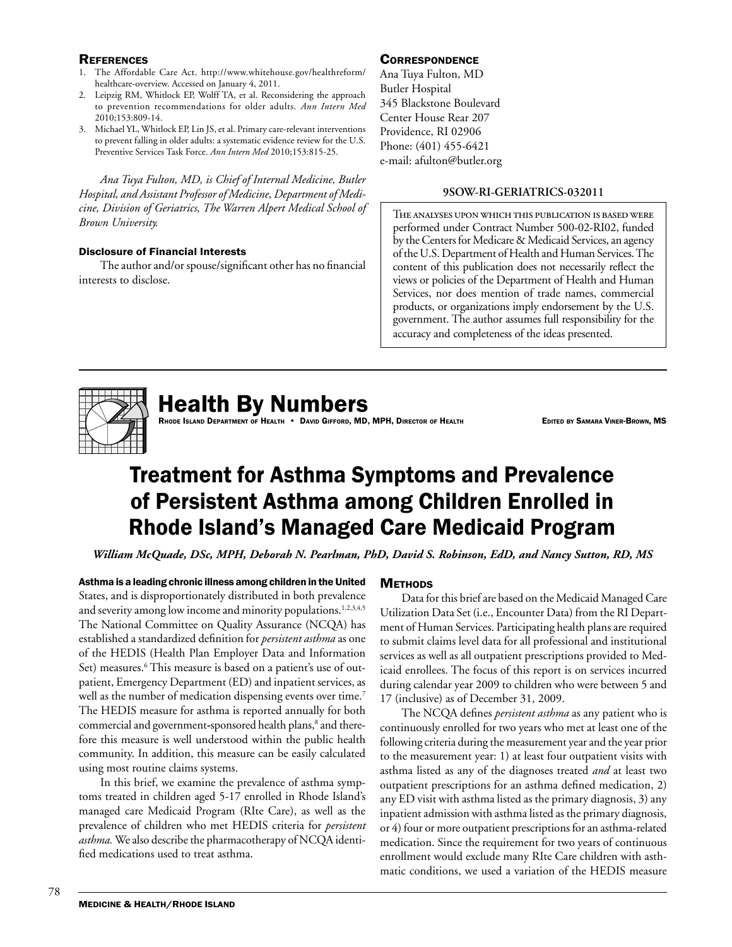## **REFERENCES**

- 1. The Affordable Care Act. http://www.whitehouse.gov/healthreform/ healthcare-overview. Accessed on January 4, 2011.
- 2. Leipzig RM, Whitlock EP, Wolff TA, et al. Reconsidering the approach to prevention recommendations for older adults. *Ann Intern Med* 2010;153:809-14.
- 3. Michael YL, Whitlock EP, Lin JS, et al. Primary care-relevant interventions to prevent falling in older adults: a systematic evidence review for the U.S. Preventive Services Task Force. *Ann Intern Med* 2010;153:815-25.

*Ana Tuya Fulton, MD, is Chief of Internal Medicine, Butler Hospital, and Assistant Professor of Medicine, Department of Medicine, Division of Geriatrics, The Warren Alpert Medical School of Brown University.*

## Disclosure of Financial Interests

The author and/or spouse/significant other has no financial interests to disclose.

## **CORRESPONDENCE**

Ana Tuya Fulton, MD Butler Hospital 345 Blackstone Boulevard Center House Rear 207 Providence, RI 02906 Phone: (401) 455-6421 e-mail: afulton@butler.org

### **9SOW-RI-GERIATRICS-032011**

The analyses upon which this publication is based were performed under Contract Number 500-02-RI02, funded by the Centers for Medicare & Medicaid Services, an agency of the U.S. Department of Health and Human Services. The content of this publication does not necessarily reflect the views or policies of the Department of Health and Human Services, nor does mention of trade names, commercial products, or organizations imply endorsement by the U.S. government. The author assumes full responsibility for the accuracy and completeness of the ideas presented.



## **Health By Numbers**

Rhode Island Department of Health • David Gifford, MD, MPH, Director of Health Equation Edited by Samara Viner-Brown, MS

# Treatment for Asthma Symptoms and Prevalence of Persistent Asthma among Children Enrolled in Rhode Island's Managed Care Medicaid Program

*William McQuade, DSc, MPH, Deborah N. Pearlman, PhD, David S. Robinson, EdD, and Nancy Sutton, RD, MS*

Asthma is a leading chronic illness among children in the United States, and is disproportionately distributed in both prevalence and severity among low income and minority populations.<sup>1,2,3,4,5</sup> The National Committee on Quality Assurance (NCQA) has established a standardized definition for *persistent asthma* as one of the HEDIS (Health Plan Employer Data and Information Set) measures.<sup>6</sup> This measure is based on a patient's use of outpatient, Emergency Department (ED) and inpatient services, as well as the number of medication dispensing events over time.<sup>7</sup> The HEDIS measure for asthma is reported annually for both commercial and government-sponsored health plans,<sup>8</sup> and therefore this measure is well understood within the public health community. In addition, this measure can be easily calculated using most routine claims systems.

In this brief, we examine the prevalence of asthma symptoms treated in children aged 5-17 enrolled in Rhode Island's managed care Medicaid Program (RIte Care), as well as the prevalence of children who met HEDIS criteria for *persistent asthma.* We also describe the pharmacotherapy of NCQA identified medications used to treat asthma.

## **METHODS**

Data for this brief are based on the Medicaid Managed Care Utilization Data Set (i.e., Encounter Data) from the RI Department of Human Services. Participating health plans are required to submit claims level data for all professional and institutional services as well as all outpatient prescriptions provided to Medicaid enrollees. The focus of this report is on services incurred during calendar year 2009 to children who were between 5 and 17 (inclusive) as of December 31, 2009.

The NCQA defines *persistent asthma* as any patient who is continuously enrolled for two years who met at least one of the following criteria during the measurement year and the year prior to the measurement year: 1) at least four outpatient visits with asthma listed as any of the diagnoses treated *and* at least two outpatient prescriptions for an asthma defined medication, 2) any ED visit with asthma listed as the primary diagnosis, 3) any inpatient admission with asthma listed as the primary diagnosis, or 4) four or more outpatient prescriptions for an asthma-related medication. Since the requirement for two years of continuous enrollment would exclude many RIte Care children with asthmatic conditions, we used a variation of the HEDIS measure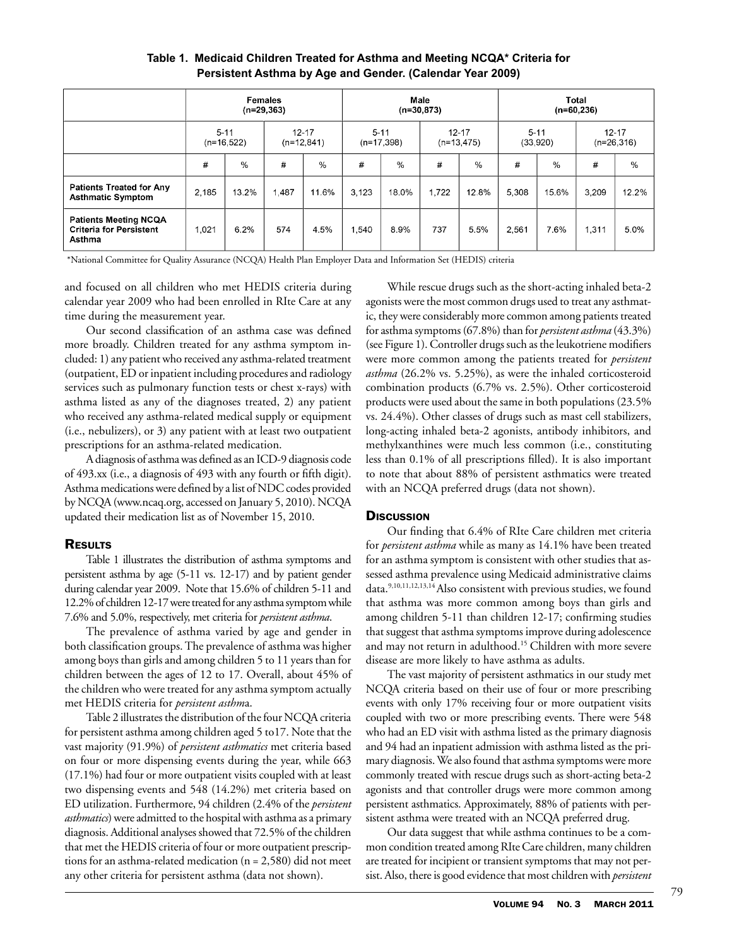|                                                                          | <b>Females</b><br>$(n=29,363)$ |               |                           |       | Male<br>$(n=30,873)$     |       |                           |       | <b>Total</b><br>$(n=60,236)$ |       |                           |       |
|--------------------------------------------------------------------------|--------------------------------|---------------|---------------------------|-------|--------------------------|-------|---------------------------|-------|------------------------------|-------|---------------------------|-------|
|                                                                          | $5 - 11$<br>$(n=16,522)$       |               | $12 - 17$<br>$(n=12,841)$ |       | $5 - 11$<br>$(n=17,398)$ |       | $12 - 17$<br>$(n=13,475)$ |       | $5 - 11$<br>(33,920)         |       | $12 - 17$<br>$(n=26,316)$ |       |
|                                                                          | #                              | $\frac{0}{0}$ | #                         | $\%$  | #                        | $\%$  | #                         | %     | #                            | $\%$  | #                         | %     |
| <b>Patients Treated for Any</b><br><b>Asthmatic Symptom</b>              | 2.185                          | 13.2%         | 1.487                     | 11.6% | 3.123                    | 18.0% | 1.722                     | 12.8% | 5,308                        | 15.6% | 3,209                     | 12.2% |
| <b>Patients Meeting NCQA</b><br><b>Criteria for Persistent</b><br>Asthma | 1.021                          | 6.2%          | 574                       | 4.5%  | 1.540                    | 8.9%  | 737                       | 5.5%  | 2,561                        | 7.6%  | 1,311                     | 5.0%  |

## **Table 1. Medicaid Children Treated for Asthma and Meeting NCQA\* Criteria for Persistent Asthma by Age and Gender. (Calendar Year 2009)**

\*National Committee for Quality Assurance (NCQA) Health Plan Employer Data and Information Set (HEDIS) criteria

and focused on all children who met HEDIS criteria during calendar year 2009 who had been enrolled in RIte Care at any time during the measurement year.

Our second classification of an asthma case was defined more broadly. Children treated for any asthma symptom included: 1) any patient who received any asthma-related treatment (outpatient, ED or inpatient including procedures and radiology services such as pulmonary function tests or chest x-rays) with asthma listed as any of the diagnoses treated, 2) any patient who received any asthma-related medical supply or equipment (i.e., nebulizers), or 3) any patient with at least two outpatient prescriptions for an asthma-related medication.

A diagnosis of asthma was defined as an ICD-9 diagnosis code of 493.xx (i.e., a diagnosis of 493 with any fourth or fifth digit). Asthma medications were defined by a list of NDC codes provided by NCQA (www.ncaq.org, accessed on January 5, 2010). NCQA updated their medication list as of November 15, 2010.

## **RESULTS**

Table 1 illustrates the distribution of asthma symptoms and persistent asthma by age (5-11 vs. 12-17) and by patient gender during calendar year 2009. Note that 15.6% of children 5-11 and 12.2% of children 12-17 were treated for any asthma symptom while 7.6% and 5.0%, respectively, met criteria for *persistent asthma*.

The prevalence of asthma varied by age and gender in both classification groups. The prevalence of asthma was higher among boys than girls and among children 5 to 11 years than for children between the ages of 12 to 17. Overall, about 45% of the children who were treated for any asthma symptom actually met HEDIS criteria for *persistent asthm*a.

Table 2 illustrates the distribution of the four NCQA criteria for persistent asthma among children aged 5 to17. Note that the vast majority (91.9%) of *persistent asthmatics* met criteria based on four or more dispensing events during the year, while 663 (17.1%) had four or more outpatient visits coupled with at least two dispensing events and 548 (14.2%) met criteria based on ED utilization. Furthermore, 94 children (2.4% of the *persistent asthmatics*) were admitted to the hospital with asthma as a primary diagnosis. Additional analyses showed that 72.5% of the children that met the HEDIS criteria of four or more outpatient prescriptions for an asthma-related medication (n = 2,580) did not meet any other criteria for persistent asthma (data not shown).

While rescue drugs such as the short-acting inhaled beta-2 agonists were the most common drugs used to treat any asthmatic, they were considerably more common among patients treated for asthma symptoms (67.8%) than for *persistent asthma* (43.3%) (see Figure 1). Controller drugs such as the leukotriene modifiers were more common among the patients treated for *persistent asthma* (26.2% vs. 5.25%), as were the inhaled corticosteroid combination products (6.7% vs. 2.5%). Other corticosteroid products were used about the same in both populations (23.5% vs. 24.4%). Other classes of drugs such as mast cell stabilizers, long-acting inhaled beta-2 agonists, antibody inhibitors, and methylxanthines were much less common (i.e., constituting less than 0.1% of all prescriptions filled). It is also important to note that about 88% of persistent asthmatics were treated with an NCQA preferred drugs (data not shown).

### **Discussion**

Our finding that 6.4% of RIte Care children met criteria for *persistent asthma* while as many as 14.1% have been treated for an asthma symptom is consistent with other studies that assessed asthma prevalence using Medicaid administrative claims data.9,10,11,12,13,14 Also consistent with previous studies, we found that asthma was more common among boys than girls and among children 5-11 than children 12-17; confirming studies that suggest that asthma symptoms improve during adolescence and may not return in adulthood.<sup>15</sup> Children with more severe disease are more likely to have asthma as adults.

The vast majority of persistent asthmatics in our study met NCQA criteria based on their use of four or more prescribing events with only 17% receiving four or more outpatient visits coupled with two or more prescribing events. There were 548 who had an ED visit with asthma listed as the primary diagnosis and 94 had an inpatient admission with asthma listed as the primary diagnosis. We also found that asthma symptoms were more commonly treated with rescue drugs such as short-acting beta-2 agonists and that controller drugs were more common among persistent asthmatics. Approximately, 88% of patients with persistent asthma were treated with an NCQA preferred drug.

Our data suggest that while asthma continues to be a common condition treated among RIte Care children, many children are treated for incipient or transient symptoms that may not persist. Also, there is good evidence that most children with *persistent*